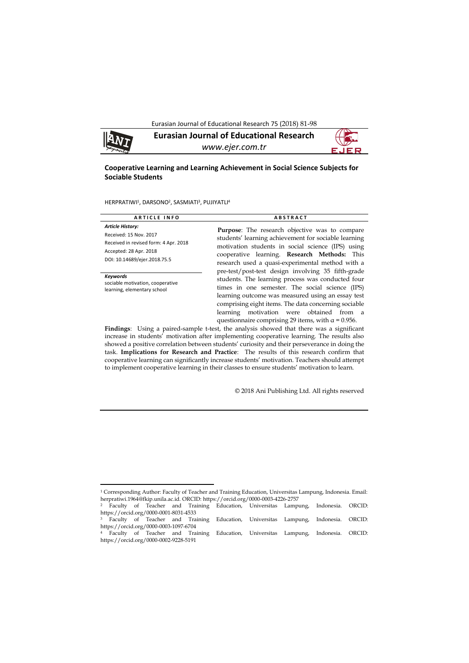Eurasian Journal of Educational Research 75 (2018) 81-98



1

**Eurasian Journal of Educational Research** *www.ejer.com.tr*

## **Cooperative Learning and Learning Achievement in Social Science Subjects for Sociable Students**

HERPRATIWI<sup>1</sup>, DARSONO<sup>2</sup>, SASMIATI<sup>3</sup>, PUJIYATLI<sup>4</sup>

| <b>ARTICLE INFO</b>                                                                                                                                  | <b>ABSTRACT</b>                                                                                                                                                                                                                                                                                                                                                                     |
|------------------------------------------------------------------------------------------------------------------------------------------------------|-------------------------------------------------------------------------------------------------------------------------------------------------------------------------------------------------------------------------------------------------------------------------------------------------------------------------------------------------------------------------------------|
| <b>Article History:</b><br>Received: 15 Nov. 2017<br>Received in revised form: 4 Apr. 2018<br>Accepted: 28 Apr. 2018<br>DOI: 10.14689/ejer.2018.75.5 | <b>Purpose:</b> The research objective was to compare<br>students' learning achievement for sociable learning<br>motivation students in social science (IPS) using<br>cooperative learning. Research Methods: This<br>research used a quasi-experimental method with a                                                                                                              |
| Keywords<br>sociable motivation, cooperative<br>learning, elementary school                                                                          | pre-test/post-test design involving 35 fifth-grade<br>students. The learning process was conducted four<br>times in one semester. The social science (IPS)<br>learning outcome was measured using an essay test<br>comprising eight items. The data concerning sociable<br>motivation were obtained from a<br>learning<br>questionnaire comprising 29 items, with $\alpha$ = 0.956. |

**Findings**: Using a paired-sample t-test, the analysis showed that there was a significant increase in students' motivation after implementing cooperative learning. The results also showed a positive correlation between students' curiosity and their perseverance in doing the task. **Implications for Research and Practice**: The results of this research confirm that cooperative learning can significantly increase students' motivation. Teachers should attempt to implement cooperative learning in their classes to ensure students' motivation to learn.

© 2018 Ani Publishing Ltd. All rights reserved

<sup>1</sup> Corresponding Author: Faculty of Teacher and Training Education, Universitas Lampung, Indonesia. Email: herpratiwi.1964@fkip.unila.ac.id. ORCID: https://orcid.org/0000-0003-4226-2757

<sup>2</sup> Faculty of Teacher and Training Education, Universitas Lampung, Indonesia. ORCID: https://orcid.org/0000-0001-8031-4533

<sup>3</sup> Faculty of Teacher and Training Education, Universitas Lampung, Indonesia. ORCID: https://orcid.org/0000-0003-1097-6704 <sup>4</sup> Faculty of Teacher and Training Education, Universitas Lampung, Indonesia. ORCID:

https://orcid.org/0000-0002-9228-5191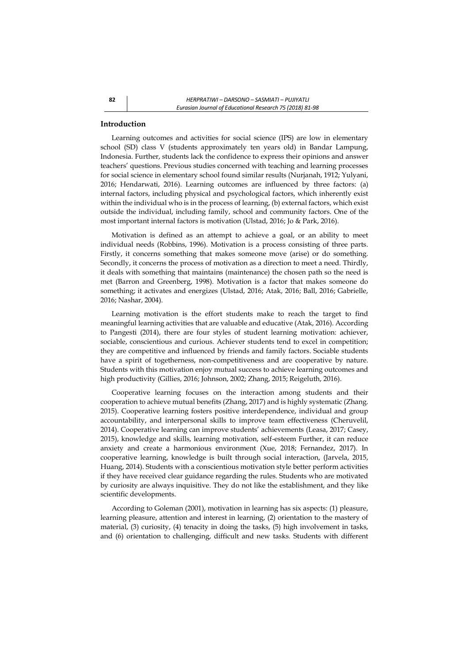### **Introduction**

Learning outcomes and activities for social science (IPS) are low in elementary school (SD) class V (students approximately ten years old) in Bandar Lampung, Indonesia. Further, students lack the confidence to express their opinions and answer teachers' questions. Previous studies concerned with teaching and learning processes for social science in elementary school found similar results (Nurjanah, 1912; Yulyani, 2016; Hendarwati, 2016). Learning outcomes are influenced by three factors: (a) internal factors, including physical and psychological factors, which inherently exist within the individual who is in the process of learning, (b) external factors, which exist outside the individual, including family, school and community factors. One of the most important internal factors is motivation (Ulstad, 2016; Jo & Park, 2016).

Motivation is defined as an attempt to achieve a goal, or an ability to meet individual needs (Robbins, 1996). Motivation is a process consisting of three parts. Firstly, it concerns something that makes someone move (arise) or do something. Secondly, it concerns the process of motivation as a direction to meet a need. Thirdly, it deals with something that maintains (maintenance) the chosen path so the need is met (Barron and Greenberg, 1998). Motivation is a factor that makes someone do something; it activates and energizes (Ulstad, 2016; Atak, 2016; Ball, 2016; Gabrielle, 2016; Nashar, 2004).

Learning motivation is the effort students make to reach the target to find meaningful learning activities that are valuable and educative (Atak, 2016). According to Pangesti (2014), there are four styles of student learning motivation: achiever, sociable, conscientious and curious. Achiever students tend to excel in competition; they are competitive and influenced by friends and family factors. Sociable students have a spirit of togetherness, non-competitiveness and are cooperative by nature. Students with this motivation enjoy mutual success to achieve learning outcomes and high productivity (Gillies, 2016; Johnson, 2002; Zhang, 2015; Reigeluth, 2016).

Cooperative learning focuses on the interaction among students and their cooperation to achieve mutual benefits (Zhang, 2017) and is highly systematic (Zhang. 2015). Cooperative learning fosters positive interdependence, individual and group accountability, and interpersonal skills to improve team effectiveness (Cheruvelil, 2014). Cooperative learning can improve students' achievements (Leasa, 2017; Casey, 2015), knowledge and skills, learning motivation, self-esteem Further, it can reduce anxiety and create a harmonious environment (Xue, 2018; Fernandez, 2017). In cooperative learning, knowledge is built through social interaction, (Jarvela, 2015, Huang, 2014). Students with a conscientious motivation style better perform activities if they have received clear guidance regarding the rules. Students who are motivated by curiosity are always inquisitive. They do not like the establishment, and they like scientific developments.

According to Goleman (2001), motivation in learning has six aspects: (1) pleasure, learning pleasure, attention and interest in learning, (2) orientation to the mastery of material, (3) curiosity, (4) tenacity in doing the tasks, (5) high involvement in tasks, and (6) orientation to challenging, difficult and new tasks. Students with different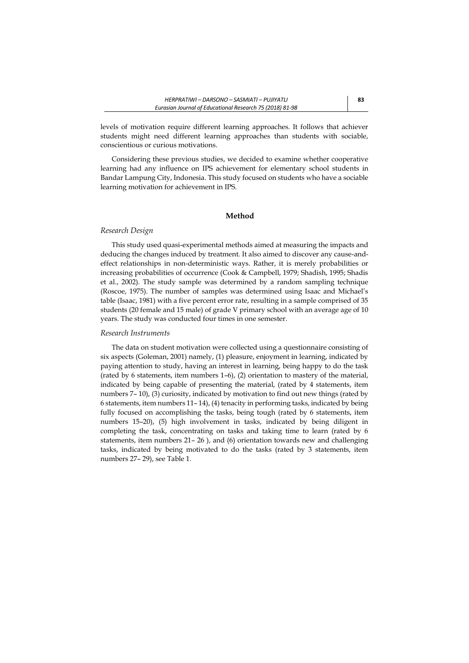levels of motivation require different learning approaches. It follows that achiever students might need different learning approaches than students with sociable, conscientious or curious motivations.

Considering these previous studies, we decided to examine whether cooperative learning had any influence on IPS achievement for elementary school students in Bandar Lampung City, Indonesia. This study focused on students who have a sociable learning motivation for achievement in IPS.

### **Method**

#### *Research Design*

This study used quasi-experimental methods aimed at measuring the impacts and deducing the changes induced by treatment. It also aimed to discover any cause-andeffect relationships in non-deterministic ways. Rather, it is merely probabilities or increasing probabilities of occurrence (Cook & Campbell, 1979; Shadish, 1995; Shadis et al., 2002). The study sample was determined by a random sampling technique (Roscoe, 1975). The number of samples was determined using Isaac and Michael's table (Isaac, 1981) with a five percent error rate, resulting in a sample comprised of 35 students (20 female and 15 male) of grade V primary school with an average age of 10 years. The study was conducted four times in one semester.

#### *Research Instruments*

The data on student motivation were collected using a questionnaire consisting of six aspects (Goleman, 2001) namely, (1) pleasure, enjoyment in learning, indicated by paying attention to study, having an interest in learning, being happy to do the task (rated by 6 statements, item numbers 1–6), (2) orientation to mastery of the material, indicated by being capable of presenting the material, (rated by 4 statements, item numbers 7– 10), (3) curiosity, indicated by motivation to find out new things (rated by 6 statements, item numbers 11– 14), (4) tenacity in performing tasks, indicated by being fully focused on accomplishing the tasks, being tough (rated by 6 statements, item numbers 15–20), (5) high involvement in tasks, indicated by being diligent in completing the task, concentrating on tasks and taking time to learn (rated by 6 statements, item numbers 21– 26 ), and (6) orientation towards new and challenging tasks, indicated by being motivated to do the tasks (rated by 3 statements, item numbers 27– 29), see Table 1.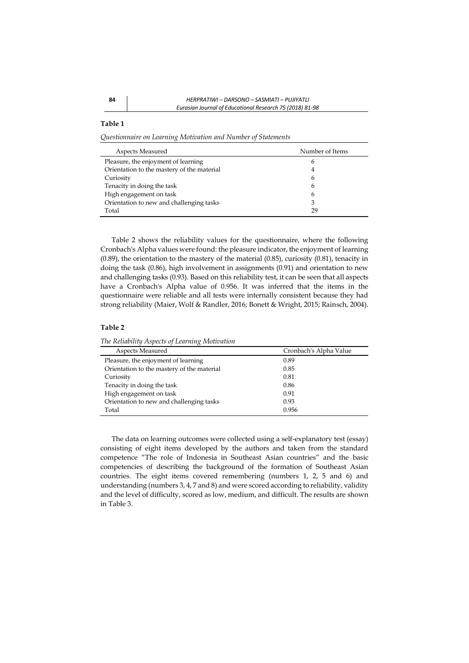*Questionnaire on Learning Motivation and Number of Statements*

| Aspects Measured                           | Number of Items |
|--------------------------------------------|-----------------|
| Pleasure, the enjoyment of learning        | 6               |
| Orientation to the mastery of the material | 4               |
| Curiosity                                  | 6               |
| Tenacity in doing the task                 | 6               |
| High engagement on task                    | 6               |
| Orientation to new and challenging tasks   | 3               |
| Total                                      | 29              |

Table 2 shows the reliability values for the questionnaire, where the following Cronbach's Alpha values were found: the pleasure indicator, the enjoyment of learning (0.89), the orientation to the mastery of the material (0.85), curiosity (0.81), tenacity in doing the task (0.86), high involvement in assignments (0.91) and orientation to new and challenging tasks (0.93). Based on this reliability test, it can be seen that all aspects have a Cronbach's Alpha value of 0.956. It was inferred that the items in the questionnaire were reliable and all tests were internally consistent because they had strong reliability (Maier, Wolf & Randler, 2016; Bonett & Wright, 2015; Rainsch, 2004).

#### **Table 2**

*The Reliability Aspects of Learning Motivation*

| Aspects Measured                           | Cronbach's Alpha Value |
|--------------------------------------------|------------------------|
| Pleasure, the enjoyment of learning        | 0.89                   |
| Orientation to the mastery of the material | 0.85                   |
| Curiosity                                  | 0.81                   |
| Tenacity in doing the task                 | 0.86                   |
| High engagement on task                    | 0.91                   |
| Orientation to new and challenging tasks   | 0.93                   |
| Total                                      | 0.956                  |
|                                            |                        |

The data on learning outcomes were collected using a self-explanatory test (essay) consisting of eight items developed by the authors and taken from the standard competence "The role of Indonesia in Southeast Asian countries" and the basic competencies of describing the background of the formation of Southeast Asian countries. The eight items covered remembering (numbers 1, 2, 5 and 6) and understanding (numbers 3, 4, 7 and 8) and were scored according to reliability, validity and the level of difficulty, scored as low, medium, and difficult. The results are shown in Table 3.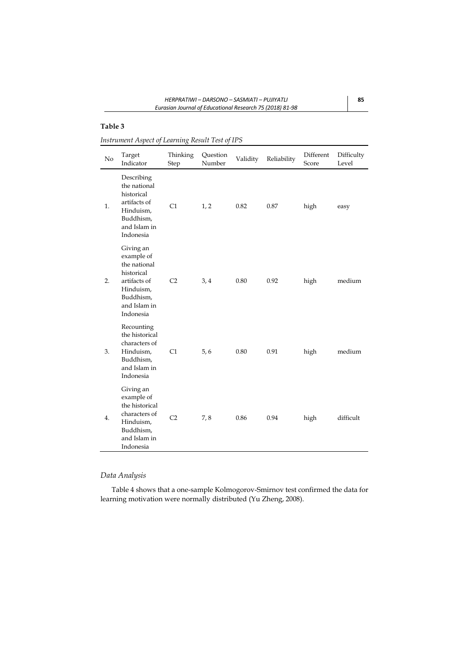*Instrument Aspect of Learning Result Test of IPS*

| No | Target<br>Indicator                                                                                                          | Thinking<br>Step | Question<br>Number | Validity | Reliability | Different<br>Score | Difficulty<br>Level |
|----|------------------------------------------------------------------------------------------------------------------------------|------------------|--------------------|----------|-------------|--------------------|---------------------|
| 1. | Describing<br>the national<br>historical<br>artifacts of<br>Hinduism,<br>Buddhism,<br>and Islam in<br>Indonesia              | C1               | 1, 2               | 0.82     | 0.87        | high               | easy                |
| 2. | Giving an<br>example of<br>the national<br>historical<br>artifacts of<br>Hinduism,<br>Buddhism,<br>and Islam in<br>Indonesia | C <sub>2</sub>   | 3,4                | 0.80     | 0.92        | high               | medium              |
| 3. | Recounting<br>the historical<br>characters of<br>Hinduism,<br>Buddhism,<br>and Islam in<br>Indonesia                         | C1               | 5, 6               | 0.80     | 0.91        | high               | medium              |
| 4. | Giving an<br>example of<br>the historical<br>characters of<br>Hinduism,<br>Buddhism,<br>and Islam in<br>Indonesia            | C <sub>2</sub>   | 7,8                | 0.86     | 0.94        | high               | difficult           |

# *Data Analysis*

Table 4 shows that a one-sample Kolmogorov-Smirnov test confirmed the data for learning motivation were normally distributed (Yu Zheng, 2008).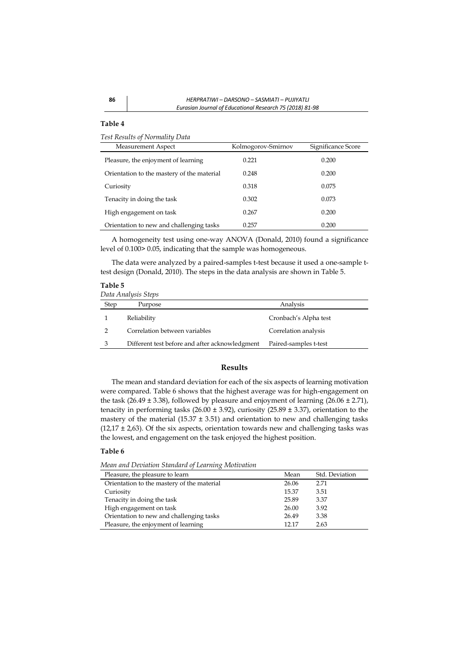*Test Results of Normality Data*

| Measurement Aspect                         | Kolmogorov-Smirnov | Significance Score |
|--------------------------------------------|--------------------|--------------------|
| Pleasure, the enjoyment of learning        | 0.221              | 0.200              |
| Orientation to the mastery of the material | 0.248              | 0.200              |
| Curiosity                                  | 0.318              | 0.075              |
| Tenacity in doing the task                 | 0.302              | 0.073              |
| High engagement on task                    | 0.267              | 0.200              |
| Orientation to new and challenging tasks   | 0.257              | 0.200              |

A homogeneity test using one-way ANOVA (Donald, 2010) found a significance level of 0.100> 0.05, indicating that the sample was homogeneous.

The data were analyzed by a paired-samples t-test because it used a one-sample ttest design (Donald, 2010). The steps in the data analysis are shown in Table 5.

# **Table 5**

|               | Data Analysis Steps                            |                       |
|---------------|------------------------------------------------|-----------------------|
| Step          | Purpose                                        | Analysis              |
|               | Reliability                                    | Cronbach's Alpha test |
| $\mathcal{P}$ | Correlation between variables                  | Correlation analysis  |
| 3             | Different test before and after acknowledgment | Paired-samples t-test |

# **Results**

The mean and standard deviation for each of the six aspects of learning motivation were compared. Table 6 shows that the highest average was for high-engagement on the task  $(26.49 \pm 3.38)$ , followed by pleasure and enjoyment of learning  $(26.06 \pm 2.71)$ , tenacity in performing tasks  $(26.00 \pm 3.92)$ , curiosity  $(25.89 \pm 3.37)$ , orientation to the mastery of the material (15.37  $\pm$  3.51) and orientation to new and challenging tasks  $(12,17 \pm 2,63)$ . Of the six aspects, orientation towards new and challenging tasks was the lowest, and engagement on the task enjoyed the highest position.

#### **Table 6**

*Mean and Deviation Standard of Learning Motivation*

| Pleasure, the pleasure to learn            | Mean  | Std. Deviation |
|--------------------------------------------|-------|----------------|
| Orientation to the mastery of the material | 26.06 | 2.71           |
| Curiosity                                  | 15.37 | 3.51           |
| Tenacity in doing the task                 | 25.89 | 3.37           |
| High engagement on task                    | 26.00 | 3.92           |
| Orientation to new and challenging tasks   | 26.49 | 3.38           |
| Pleasure, the enjoyment of learning        | 12 17 | 2.63           |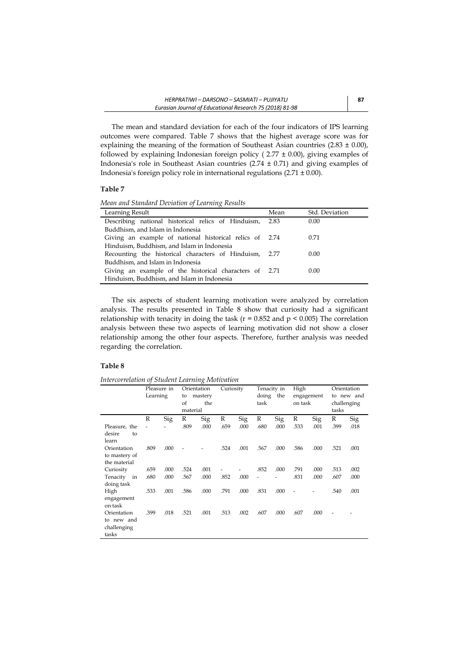The mean and standard deviation for each of the four indicators of IPS learning outcomes were compared. Table 7 shows that the highest average score was for explaining the meaning of the formation of Southeast Asian countries  $(2.83 \pm 0.00)$ , followed by explaining Indonesian foreign policy ( $2.77 \pm 0.00$ ), giving examples of Indonesia's role in Southeast Asian countries (2.74 ± 0.71) and giving examples of Indonesia's foreign policy role in international regulations (2.71 ± 0.00).

### **Table 7**

*Mean and Standard Deviation of Learning Results*

| Learning Result                                         | Mean | Std. Deviation |
|---------------------------------------------------------|------|----------------|
| Describing national historical relics of Hinduism,      | 2.83 | 0.00           |
| Buddhism, and Islam in Indonesia                        |      |                |
| Giving an example of national historical relics of 2.74 |      | 0.71           |
| Hinduism, Buddhism, and Islam in Indonesia              |      |                |
| Recounting the historical characters of Hinduism, 2.77  |      | 0.00           |
| Buddhism, and Islam in Indonesia                        |      |                |
| Giving an example of the historical characters of 2.71  |      | 0.00           |
| Hinduism, Buddhism, and Islam in Indonesia              |      |                |

The six aspects of student learning motivation were analyzed by correlation analysis. The results presented in Table 8 show that curiosity had a significant relationship with tenacity in doing the task ( $r = 0.852$  and  $p < 0.005$ ) The correlation analysis between these two aspects of learning motivation did not show a closer relationship among the other four aspects. Therefore, further analysis was needed regarding the correlation.

## **Table 8**

*Intercorrelation of Student Learning Motivation*

|                | Pleasure in |      | Orientation |         | Curiosity |      |       | Tenacity in | High    |            |       | Orientation |
|----------------|-------------|------|-------------|---------|-----------|------|-------|-------------|---------|------------|-------|-------------|
|                | Learning    |      | to          | mastery |           |      | doing | the         |         | engagement |       | to new and  |
|                |             |      | of          | the     |           |      | task  |             | on task |            |       | challenging |
|                |             |      | material    |         |           |      |       |             |         |            | tasks |             |
|                | R           | Sig  | R           | Sig     | R         | Sig  | R     | Sig         | R       | Sig        | R     | Sig         |
| Pleasure, the  |             |      | .809        | .000    | .659      | .000 | .680  | .000        | .533    | .001       | .399  | .018        |
| desire<br>to   |             |      |             |         |           |      |       |             |         |            |       |             |
| learn          |             |      |             |         |           |      |       |             |         |            |       |             |
| Orientation    | .809        | .000 |             |         | .524      | .001 | .567  | .000        | .586    | .000       | .521  | .001        |
| to mastery of  |             |      |             |         |           |      |       |             |         |            |       |             |
| the material   |             |      |             |         |           |      |       |             |         |            |       |             |
| Curiosity      | .659        | .000 | .524        | .001    |           |      | .852  | .000        | .791    | .000       | .513  | .002        |
| Tenacity<br>in | .680        | .000 | .567        | .000    | .852      | .000 |       |             | .831    | .000       | .607  | .000        |
| doing task     |             |      |             |         |           |      |       |             |         |            |       |             |
| High           | .533        | .001 | .586        | .000    | .791      | .000 | .831  | .000        |         |            | .540  | .001        |
| engagement     |             |      |             |         |           |      |       |             |         |            |       |             |
| on task        |             |      |             |         |           |      |       |             |         |            |       |             |
| Orientation    | .399        | .018 | .521        | .001    | .513      | .002 | .607  | .000        | .607    | .000       |       |             |
| to new and     |             |      |             |         |           |      |       |             |         |            |       |             |
| challenging    |             |      |             |         |           |      |       |             |         |            |       |             |
| tasks          |             |      |             |         |           |      |       |             |         |            |       |             |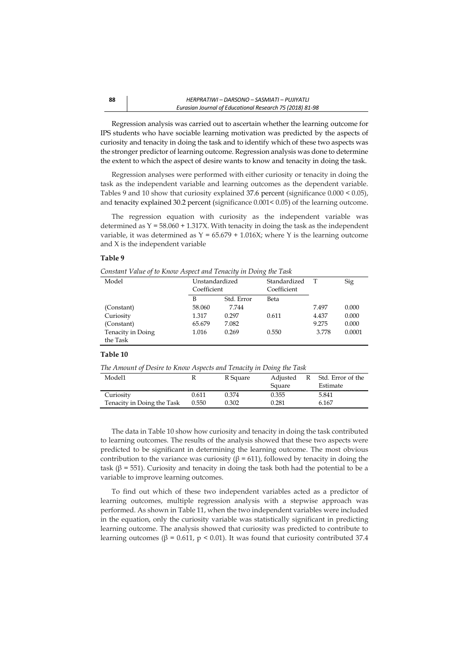Regression analysis was carried out to ascertain whether the learning outcome for IPS students who have sociable learning motivation was predicted by the aspects of curiosity and tenacity in doing the task and to identify which of these two aspects was the stronger predictor of learning outcome. Regression analysis was done to determine the extent to which the aspect of desire wants to know and tenacity in doing the task.

Regression analyses were performed with either curiosity or tenacity in doing the task as the independent variable and learning outcomes as the dependent variable. Tables 9 and 10 show that curiosity explained 37.6 percent (significance 0.000 < 0.05), and tenacity explained 30.2 percent (significance 0.001< 0.05) of the learning outcome.

The regression equation with curiosity as the independent variable was determined as  $Y = 58.060 + 1.317X$ . With tenacity in doing the task as the independent variable, it was determined as  $Y = 65.679 + 1.016X$ ; where Y is the learning outcome and X is the independent variable

#### **Table 9**

*Constant Value of to Know Aspect and Tenacity in Doing the Task*

| Model             | Unstandardized |            | $\cdot$<br>Standardized | T     | Sig    |
|-------------------|----------------|------------|-------------------------|-------|--------|
|                   | Coefficient    |            | Coefficient             |       |        |
|                   | B              | Std. Error | Beta                    |       |        |
| (Constant)        | 58.060         | 7.744      |                         | 7.497 | 0.000  |
| Curiosity         | 1.317          | 0.297      | 0.611                   | 4.437 | 0.000  |
| (Constant)        | 65.679         | 7.082      |                         | 9.275 | 0.000  |
| Tenacity in Doing | 1.016          | 0.269      | 0.550                   | 3.778 | 0.0001 |
| the Task          |                |            |                         |       |        |

#### **Table 10**

*The Amount of Desire to Know Aspects and Tenacity in Doing the Task*

| Model1                     |       | R Square | Adjusted | R | Std. Error of the |
|----------------------------|-------|----------|----------|---|-------------------|
|                            |       |          | Square   |   | Estimate          |
| Curiosity                  | 0.611 | 0.374    | 0.355    |   | 5.841             |
| Tenacity in Doing the Task | 0.550 | 0.302    | 0.281    |   | 6.167             |

The data in Table 10 show how curiosity and tenacity in doing the task contributed to learning outcomes. The results of the analysis showed that these two aspects were predicted to be significant in determining the learning outcome. The most obvious contribution to the variance was curiosity ( $β = 611$ ), followed by tenacity in doing the task (β = 551). Curiosity and tenacity in doing the task both had the potential to be a variable to improve learning outcomes.

To find out which of these two independent variables acted as a predictor of learning outcomes, multiple regression analysis with a stepwise approach was performed. As shown in Table 11, when the two independent variables were included in the equation, only the curiosity variable was statistically significant in predicting learning outcome. The analysis showed that curiosity was predicted to contribute to learning outcomes ( $β = 0.611$ ,  $p < 0.01$ ). It was found that curiosity contributed 37.4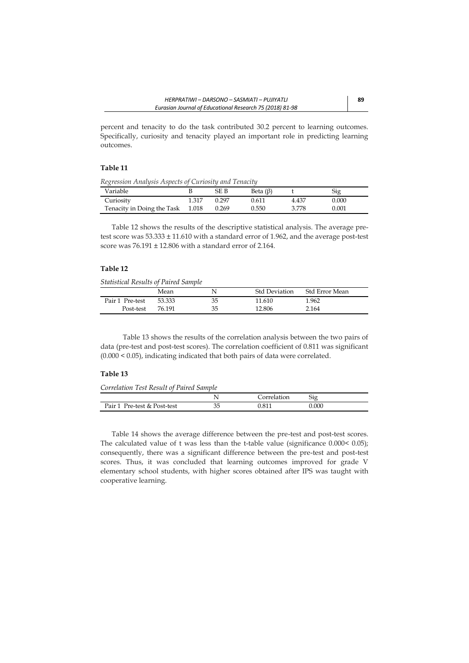percent and tenacity to do the task contributed 30.2 percent to learning outcomes. Specifically, curiosity and tenacity played an important role in predicting learning outcomes.

## **Table 11**

*Regression Analysis Aspects of Curiosity and Tenacity* 

| Variable                   |       | SE B  | Beta $(\beta)$ |       | Sig       |
|----------------------------|-------|-------|----------------|-------|-----------|
| Curiosity                  | 1.317 | 0.297 | 0.611          | 4.437 | 0.000     |
| Tenacity in Doing the Task | 1.018 | 0.269 | 0.550          | 3.778 | $0.001\,$ |

Table 12 shows the results of the descriptive statistical analysis. The average pretest score was 53.333 ± 11.610 with a standard error of 1.962, and the average post-test score was 76.191 ± 12.806 with a standard error of 2.164.

## **Table 12**

*Statistical Results of Paired Sample* 

|                 | Mean   | N  | <b>Std Deviation</b> | <b>Std Error Mean</b> |
|-----------------|--------|----|----------------------|-----------------------|
| Pair 1 Pre-test | 53.333 | 35 | 11.610               | 1.962                 |
| Post-test       | 76.191 | 35 | 12.806               | 2.164                 |

Table 13 shows the results of the correlation analysis between the two pairs of data (pre-test and post-test scores). The correlation coefficient of 0.811 was significant (0.000 < 0.05), indicating indicated that both pairs of data were correlated.

### **Table 13**

*Correlation Test Result of Paired Sample*

|                                |    | $\sim$ 1111.00<br>uon | $\sim$<br>510 |  |
|--------------------------------|----|-----------------------|---------------|--|
| Pair 1<br>Pre-test & Post-test | 35 | O <sub>1</sub>        | 0.000         |  |

Table 14 shows the average difference between the pre-test and post-test scores. The calculated value of t was less than the t-table value (significance 0.000< 0.05); consequently, there was a significant difference between the pre-test and post-test scores. Thus, it was concluded that learning outcomes improved for grade V elementary school students, with higher scores obtained after IPS was taught with cooperative learning.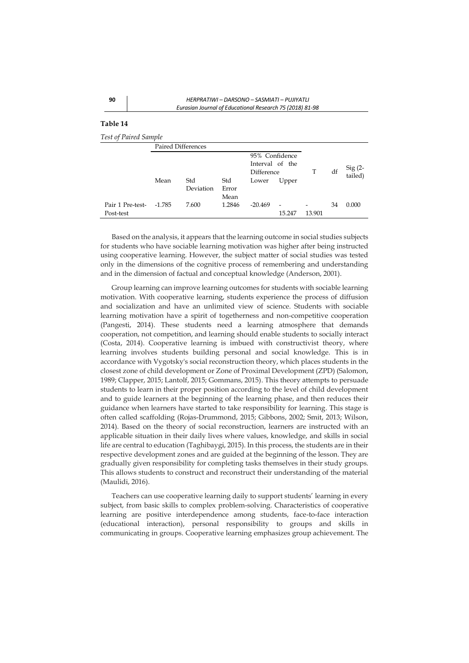*Test of Paired Sample*

|                               | <b>Paired Differences</b> |                  |                      |                                                 |                                    |        |    |                      |
|-------------------------------|---------------------------|------------------|----------------------|-------------------------------------------------|------------------------------------|--------|----|----------------------|
|                               |                           |                  |                      | 95% Confidence<br>Interval of the<br>Difference |                                    | T      | df | $Sig(2 -$<br>tailed) |
|                               | Mean                      | Std<br>Deviation | Std<br>Error<br>Mean | Lower                                           | Upper                              |        |    |                      |
| Pair 1 Pre-test-<br>Post-test | -1.785                    | 7.600            | 1.2846               | $-20.469$                                       | $\overline{\phantom{a}}$<br>15.247 | 13.901 | 34 | 0.000                |

Based on the analysis, it appears that the learning outcome in social studies subjects for students who have sociable learning motivation was higher after being instructed using cooperative learning. However, the subject matter of social studies was tested only in the dimensions of the cognitive process of remembering and understanding and in the dimension of factual and conceptual knowledge (Anderson, 2001).

Group learning can improve learning outcomes for students with sociable learning motivation. With cooperative learning, students experience the process of diffusion and socialization and have an unlimited view of science. Students with sociable learning motivation have a spirit of togetherness and non-competitive cooperation (Pangesti, 2014). These students need a learning atmosphere that demands cooperation, not competition, and learning should enable students to socially interact (Costa, 2014). Cooperative learning is imbued with constructivist theory, where learning involves students building personal and social knowledge. This is in accordance with Vygotsky's social reconstruction theory, which places students in the closest zone of child development or Zone of Proximal Development (ZPD) (Salomon, 1989; Clapper, 2015; Lantolf, 2015; Gommans, 2015). This theory attempts to persuade students to learn in their proper position according to the level of child development and to guide learners at the beginning of the learning phase, and then reduces their guidance when learners have started to take responsibility for learning. This stage is often called scaffolding (Rojas-Drummond, 2015; Gibbons, 2002; Smit, 2013; Wilson, 2014). Based on the theory of social reconstruction, learners are instructed with an applicable situation in their daily lives where values, knowledge, and skills in social life are central to education (Taghibaygi, 2015). In this process, the students are in their respective development zones and are guided at the beginning of the lesson. They are gradually given responsibility for completing tasks themselves in their study groups. This allows students to construct and reconstruct their understanding of the material (Maulidi, 2016).

Teachers can use cooperative learning daily to support students' learning in every subject, from basic skills to complex problem-solving. Characteristics of cooperative learning are positive interdependence among students, face-to-face interaction (educational interaction), personal responsibility to groups and skills in communicating in groups. Cooperative learning emphasizes group achievement. The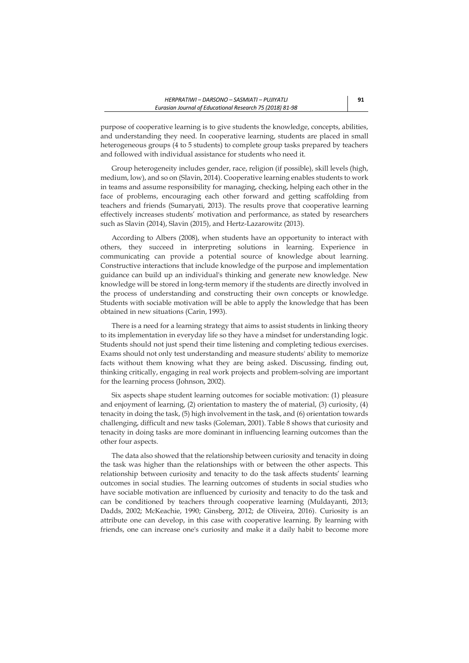purpose of cooperative learning is to give students the knowledge, concepts, abilities, and understanding they need. In cooperative learning, students are placed in small heterogeneous groups (4 to 5 students) to complete group tasks prepared by teachers and followed with individual assistance for students who need it.

Group heterogeneity includes gender, race, religion (if possible), skill levels (high, medium, low), and so on (Slavin, 2014). Cooperative learning enables students to work in teams and assume responsibility for managing, checking, helping each other in the face of problems, encouraging each other forward and getting scaffolding from teachers and friends (Sumaryati, 2013). The results prove that cooperative learning effectively increases students' motivation and performance, as stated by researchers such as Slavin (2014), Slavin (2015), and Hertz-Lazarowitz (2013).

According to Albers (2008), when students have an opportunity to interact with others, they succeed in interpreting solutions in learning. Experience in communicating can provide a potential source of knowledge about learning. Constructive interactions that include knowledge of the purpose and implementation guidance can build up an individual's thinking and generate new knowledge. New knowledge will be stored in long-term memory if the students are directly involved in the process of understanding and constructing their own concepts or knowledge. Students with sociable motivation will be able to apply the knowledge that has been obtained in new situations (Carin, 1993).

There is a need for a learning strategy that aims to assist students in linking theory to its implementation in everyday life so they have a mindset for understanding logic. Students should not just spend their time listening and completing tedious exercises. Exams should not only test understanding and measure students' ability to memorize facts without them knowing what they are being asked. Discussing, finding out, thinking critically, engaging in real work projects and problem-solving are important for the learning process (Johnson, 2002).

Six aspects shape student learning outcomes for sociable motivation: (1) pleasure and enjoyment of learning, (2) orientation to mastery the of material, (3) curiosity, (4) tenacity in doing the task, (5) high involvement in the task, and (6) orientation towards challenging, difficult and new tasks (Goleman, 2001). Table 8 shows that curiosity and tenacity in doing tasks are more dominant in influencing learning outcomes than the other four aspects.

The data also showed that the relationship between curiosity and tenacity in doing the task was higher than the relationships with or between the other aspects. This relationship between curiosity and tenacity to do the task affects students' learning outcomes in social studies. The learning outcomes of students in social studies who have sociable motivation are influenced by curiosity and tenacity to do the task and can be conditioned by teachers through cooperative learning (Muldayanti, 2013; Dadds, 2002; McKeachie, 1990; Ginsberg, 2012; de Oliveira, 2016). Curiosity is an attribute one can develop, in this case with cooperative learning. By learning with friends, one can increase one's curiosity and make it a daily habit to become more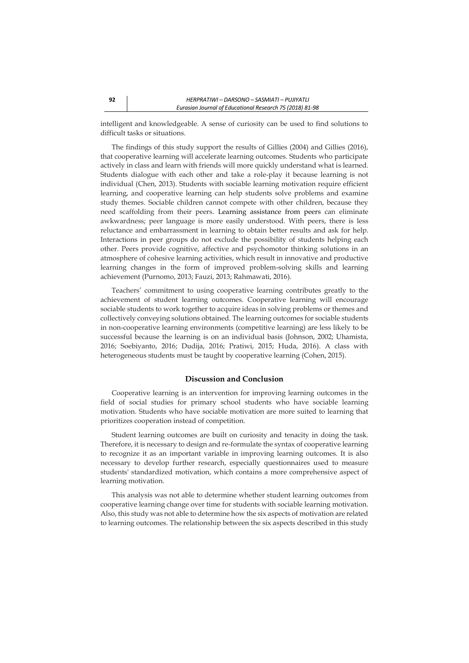intelligent and knowledgeable. A sense of curiosity can be used to find solutions to difficult tasks or situations.

The findings of this study support the results of Gillies (2004) and Gillies (2016), that cooperative learning will accelerate learning outcomes. Students who participate actively in class and learn with friends will more quickly understand what is learned. Students dialogue with each other and take a role-play it because learning is not individual (Chen, 2013). Students with sociable learning motivation require efficient learning, and cooperative learning can help students solve problems and examine study themes. Sociable children cannot compete with other children, because they need scaffolding from their peers. Learning assistance from peers can eliminate awkwardness; peer language is more easily understood. With peers, there is less reluctance and embarrassment in learning to obtain better results and ask for help. Interactions in peer groups do not exclude the possibility of students helping each other. Peers provide cognitive, affective and psychomotor thinking solutions in an atmosphere of cohesive learning activities, which result in innovative and productive learning changes in the form of improved problem-solving skills and learning achievement (Purnomo, 2013; Fauzi, 2013; Rahmawati, 2016).

Teachers' commitment to using cooperative learning contributes greatly to the achievement of student learning outcomes. Cooperative learning will encourage sociable students to work together to acquire ideas in solving problems or themes and collectively conveying solutions obtained. The learning outcomes for sociable students in non-cooperative learning environments (competitive learning) are less likely to be successful because the learning is on an individual basis (Johnson, 2002; Uhamista, 2016; Soebiyanto, 2016; Dudija, 2016; Pratiwi, 2015; Huda, 2016). A class with heterogeneous students must be taught by cooperative learning (Cohen, 2015).

### **Discussion and Conclusion**

Cooperative learning is an intervention for improving learning outcomes in the field of social studies for primary school students who have sociable learning motivation. Students who have sociable motivation are more suited to learning that prioritizes cooperation instead of competition.

Student learning outcomes are built on curiosity and tenacity in doing the task. Therefore, it is necessary to design and re-formulate the syntax of cooperative learning to recognize it as an important variable in improving learning outcomes. It is also necessary to develop further research, especially questionnaires used to measure students' standardized motivation, which contains a more comprehensive aspect of learning motivation.

This analysis was not able to determine whether student learning outcomes from cooperative learning change over time for students with sociable learning motivation. Also, this study was not able to determine how the six aspects of motivation are related to learning outcomes. The relationship between the six aspects described in this study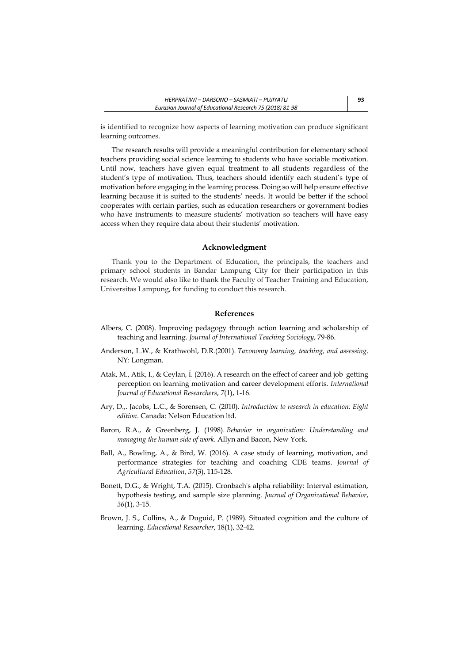is identified to recognize how aspects of learning motivation can produce significant learning outcomes.

The research results will provide a meaningful contribution for elementary school teachers providing social science learning to students who have sociable motivation. Until now, teachers have given equal treatment to all students regardless of the student's type of motivation. Thus, teachers should identify each student's type of motivation before engaging in the learning process. Doing so will help ensure effective learning because it is suited to the students' needs. It would be better if the school cooperates with certain parties, such as education researchers or government bodies who have instruments to measure students' motivation so teachers will have easy access when they require data about their students' motivation.

#### **Acknowledgment**

Thank you to the Department of Education, the principals, the teachers and primary school students in Bandar Lampung City for their participation in this research. We would also like to thank the Faculty of Teacher Training and Education, Universitas Lampung, for funding to conduct this research.

#### **References**

- Albers, C. (2008). Improving pedagogy through action learning and scholarship of teaching and learning. *Journal of International Teaching Sociology*, 79-86.
- Anderson, L.W., & Krathwohl, D.R.(2001). *Taxonomy learning, teaching, and assessing*. NY: Longman.
- Atak, M., Atik, I., & Ceylan, İ. (2016). A research on the effect of career and job getting perception on learning motivation and career development efforts. *International Journal of Educational Researchers*, *7*(1), 1-16.
- Ary, D.,. Jacobs, L.C., & Sorensen, C. (2010). *Introduction to research in education: Eight edition*. Canada: Nelson Education ltd.
- Baron, R.A., & Greenberg, J. (1998). *Behavior in organization: Understanding and managing the human side of work*. Allyn and Bacon, New York.
- Ball, A., Bowling, A., & Bird, W. (2016). A case study of learning, motivation, and performance strategies for teaching and coaching CDE teams. *Journal of Agricultural Education*, *57*(3), 115-128.
- Bonett, D.G., & Wright, T.A. (2015). Cronbach's alpha reliability: Interval estimation, hypothesis testing, and sample size planning. *Journal of Organizational Behavior*, *36*(1), 3-15.
- Brown, J. S., Collins, A., & Duguid, P. (1989). Situated cognition and the culture of learning. *Educational Researcher*, 18(1), 32-42.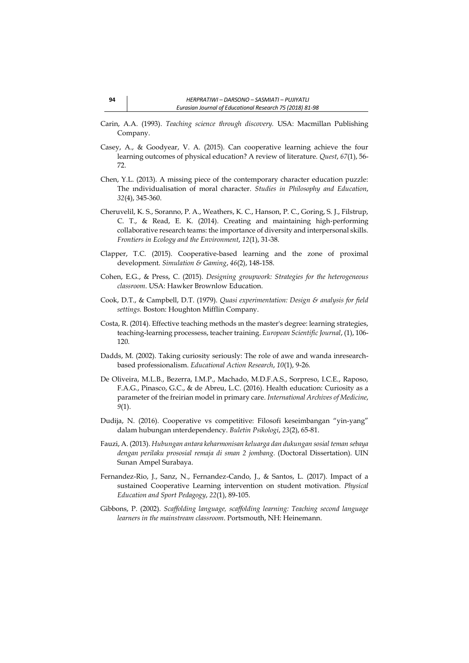- Carin, A.A. (1993). *Teaching science through discovery.* USA: Macmillan Publishing Company.
- Casey, A., & Goodyear, V. A. (2015). Can cooperative learning achieve the four learning outcomes of physical education? A review of literature. *Quest*, *67*(1), 56- 72.
- Chen, Y.L. (2013). A missing piece of the contemporary character education puzzle: The ındividualisation of moral character. *Studies in Philosophy and Education*, *32*(4), 345-360.
- Cheruvelil, K. S., Soranno, P. A., Weathers, K. C., Hanson, P. C., Goring, S. J., Filstrup, C. T., & Read, E. K. (2014). Creating and maintaining high‐performing collaborative research teams: the importance of diversity and interpersonal skills. *Frontiers in Ecology and the Environment*, *12*(1), 31-38.
- Clapper, T.C. (2015). Cooperative-based learning and the zone of proximal development. *Simulation & Gaming*, *46*(2), 148-158.
- Cohen, E.G., & Press, C. (2015). *Designing groupwork: Strategies for the heterogeneous classroom*. USA: Hawker Brownlow Education.
- Cook, D.T., & Campbell, D.T. (1979). *Quasi experimentation: Design & analysis for field settings.* Boston: Houghton Mifflin Company.
- Costa, R. (2014). Effective teaching methods ın the master's degree: learning strategies, teaching-learning processess, teacher training. *European Scientific Journal*, (1), 106- 120.
- Dadds, M. (2002). Taking curiosity seriously: The role of awe and wanda inresearchbased professionalism. *Educational Action Research*, *10*(1), 9-26.
- De Oliveira, M.L.B., Bezerra, I.M.P., Machado, M.D.F.A.S., Sorpreso, I.C.E., Raposo, F.A.G., Pinasco, G.C., & de Abreu, L.C. (2016). Health education: Curiosity as a parameter of the freirian model in primary care. *International Archives of Medicine*, *9*(1).
- Dudija, N. (2016). Cooperative vs competitive: Filosofi keseimbangan "yin-yang" dalam hubungan ınterdependency. *Buletin Psikologi*, *23*(2), 65-81.
- Fauzi, A. (2013). *Hubungan antara keharmonisan keluarga dan dukungan sosial teman sebaya dengan perilaku prososial remaja di sman 2 jombang.* (Doctoral Dissertation). UIN Sunan Ampel Surabaya.
- Fernandez-Rio, J., Sanz, N., Fernandez-Cando, J., & Santos, L. (2017). Impact of a sustained Cooperative Learning intervention on student motivation. *Physical Education and Sport Pedagogy*, *22*(1), 89-105.
- Gibbons, P. (2002). *Scaffolding language, scaffolding learning: Teaching second language learners in the mainstream classroom*. Portsmouth, NH: Heinemann.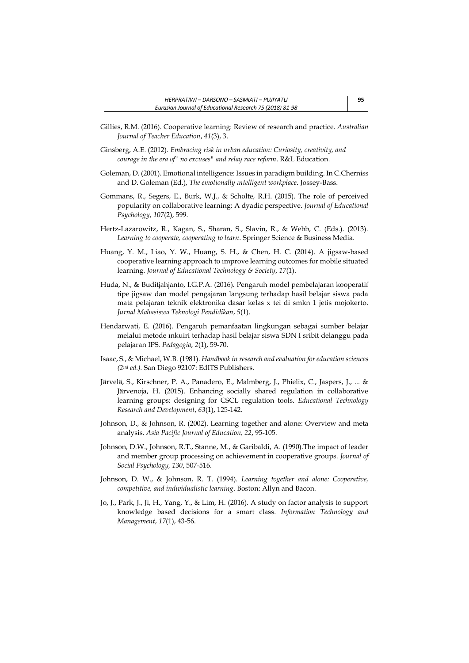- Gillies, R.M. (2016). Cooperative learning: Review of research and practice. *Australian Journal of Teacher Education*, *41*(3), 3.
- Ginsberg, A.E. (2012). *Embracing risk in urban education: Curiosity, creativity, and courage in the era of" no excuses" and relay race reform*. R&L Education.
- Goleman, D. (2001). Emotional intelligence: Issues in paradigm building. In C.Cherniss and D. Goleman (Ed.), *The emotionally ıntelligent workplace*. Jossey-Bass.
- Gommans, R., Segers, E., Burk, W.J., & Scholte, R.H. (2015). The role of perceived popularity on collaborative learning: A dyadic perspective. *Journal of Educational Psychology*, *107*(2), 599.
- Hertz-Lazarowitz, R., Kagan, S., Sharan, S., Slavin, R., & Webb, C. (Eds.). (2013). *Learning to cooperate, cooperating to learn*. Springer Science & Business Media.
- Huang, Y. M., Liao, Y. W., Huang, S. H., & Chen, H. C. (2014). A jigsaw-based cooperative learning approach to ımprove learning outcomes for mobile situated learning. *Journal of Educational Technology & Society*, *17*(1).
- Huda, N., & Buditjahjanto, I.G.P.A. (2016). Pengaruh model pembelajaran kooperatif tipe jigsaw dan model pengajaran langsung terhadap hasil belajar siswa pada mata pelajaran teknik elektronika dasar kelas x tei di smkn 1 jetis mojokerto. *Jurnal Mahasiswa Teknologi Pendidikan*, *5*(1).
- Hendarwati, E. (2016). Pengaruh pemanfaatan lingkungan sebagai sumber belajar melalui metode ınkuiri terhadap hasil belajar siswa SDN I sribit delanggu pada pelajaran IPS. *Pedagogia*, *2*(1), 59-70.
- Isaac, S., & Michael, W.B. (1981). *Handbook in research and evaluation for education sciences (2nd ed.).* San Diego 92107: EdITS Publishers.
- Järvelä, S., Kirschner, P. A., Panadero, E., Malmberg, J., Phielix, C., Jaspers, J., ... & Järvenoja, H. (2015). Enhancing socially shared regulation in collaborative learning groups: designing for CSCL regulation tools. *Educational Technology Research and Development*, *63*(1), 125-142.
- Johnson, D., & Johnson, R. (2002). Learning together and alone: Overview and meta analysis. *Asia Pacific Journal of Education, 22*, 95-105.
- Johnson, D.W., Johnson, R.T., Stanne, M., & Garibaldi, A. (1990).The impact of leader and member group processing on achievement in cooperative groups. *Journal of Social Psychology, 130*, 507-516.
- Johnson, D. W., & Johnson, R. T. (1994). *Learning together and alone: Cooperative, competitive, and individualistic learning*. Boston: Allyn and Bacon.
- Jo, J., Park, J., Ji, H., Yang, Y., & Lim, H. (2016). A study on factor analysis to support knowledge based decisions for a smart class. *Information Technology and Management*, *17*(1), 43-56.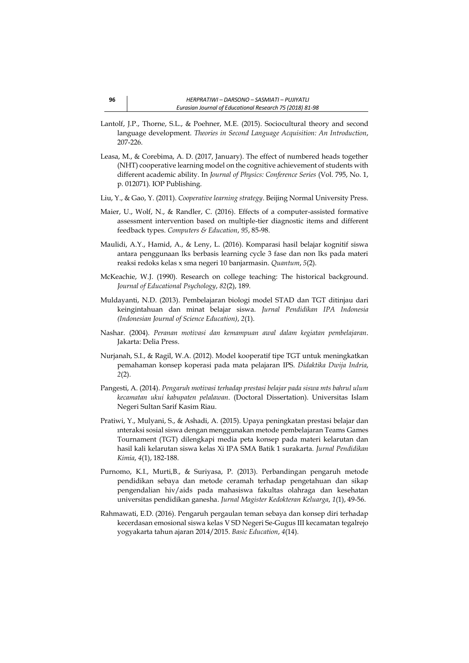- Lantolf, J.P., Thorne, S.L., & Poehner, M.E. (2015). Sociocultural theory and second language development. *Theories in Second Language Acquisition: An Introduction*, 207-226.
- Leasa, M., & Corebima, A. D. (2017, January). The effect of numbered heads together (NHT) cooperative learning model on the cognitive achievement of students with different academic ability. In *Journal of Physics: Conference Series* (Vol. 795, No. 1, p. 012071). IOP Publishing.
- Liu, Y., & Gao, Y. (2011). *Cooperative learning strategy*. Beijing Normal University Press.
- Maier, U., Wolf, N., & Randler, C. (2016). Effects of a computer-assisted formative assessment intervention based on multiple-tier diagnostic items and different feedback types. *Computers & Education*, *95*, 85-98.
- Maulidi, A.Y., Hamid, A., & Leny, L. (2016). Komparasi hasil belajar kognitif siswa antara penggunaan lks berbasis learning cycle 3 fase dan non lks pada materi reaksi redoks kelas x sma negeri 10 banjarmasin. *Quantum*, *5*(2).
- McKeachie, W.J. (1990). Research on college teaching: The historical background. *Journal of Educational Psychology*, *82*(2), 189.
- Muldayanti, N.D. (2013). Pembelajaran biologi model STAD dan TGT ditinjau dari keingintahuan dan minat belajar siswa. *Jurnal Pendidikan IPA Indonesia (Indonesian Journal of Science Education)*, *2*(1).
- Nashar. (2004). *Peranan motivasi dan kemampuan awal dalam kegiatan pembelajaran*. Jakarta: Delia Press.
- Nurjanah, S.I., & Ragil, W.A. (2012). Model kooperatif tipe TGT untuk meningkatkan pemahaman konsep koperasi pada mata pelajaran IPS. *Didaktika Dwija Indria*, *2*(2).
- Pangesti, A. (2014). *Pengaruh motivasi terhadap prestasi belajar pada siswa mts bahrul ulum kecamatan ukui kabupaten pelalawan.* (Doctoral Dissertation). Universitas Islam Negeri Sultan Sarif Kasim Riau.
- Pratiwi, Y., Mulyani, S., & Ashadi, A. (2015). Upaya peningkatan prestasi belajar dan ınteraksi sosial siswa dengan menggunakan metode pembelajaran Teams Games Tournament (TGT) dilengkapi media peta konsep pada materi kelarutan dan hasil kali kelarutan siswa kelas Xi IPA SMA Batik 1 surakarta. *Jurnal Pendidikan Kimia*, *4*(1), 182-188.
- Purnomo, K.I., Murti,B., & Suriyasa, P. (2013). Perbandingan pengaruh metode pendidikan sebaya dan metode ceramah terhadap pengetahuan dan sikap pengendalian hiv/aids pada mahasiswa fakultas olahraga dan kesehatan universitas pendidikan ganesha. *Jurnal Magister Kedokteran Keluarga*, *1*(1), 49-56.
- Rahmawati, E.D. (2016). Pengaruh pergaulan teman sebaya dan konsep diri terhadap kecerdasan emosional siswa kelas V SD Negeri Se-Gugus III kecamatan tegalrejo yogyakarta tahun ajaran 2014/2015. *Basic Education*, *4*(14).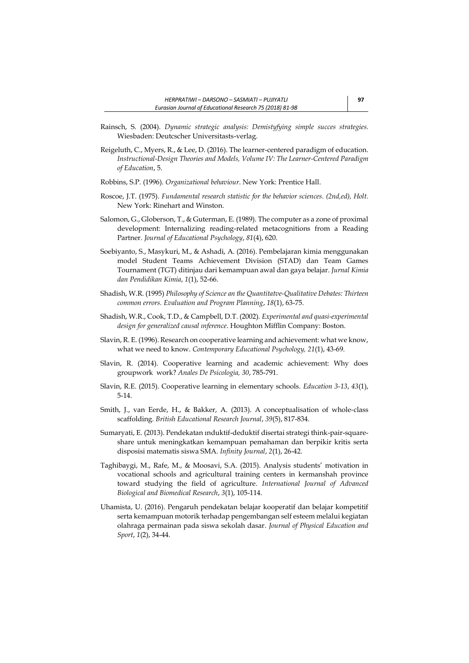- Rainsch, S. (2004). *Dynamic strategic analysis: Demistyfying simple succes strategies.* Wiesbaden: Deutcscher Universitasts-verlag.
- Reigeluth, C., Myers, R., & Lee, D. (2016). The learner-centered paradigm of education. *Instructional-Design Theories and Models, Volume IV: The Learner-Centered Paradigm of Education*, 5.
- Robbins, S.P. (1996). *Organizational behaviour*. New York: Prentice Hall.
- Roscoe, J.T. (1975). *Fundamental research statistic for the behavior sciences. (2nd,ed), Holt.* New York: Rinehart and Winston.
- Salomon, G., Globerson, T., & Guterman, E. (1989). The computer as a zone of proximal development: Internalizing reading-related metacognitions from a Reading Partner. *Journal of Educational Psychology*, *81*(4), 620.
- Soebiyanto, S., Masykuri, M., & Ashadi, A. (2016). Pembelajaran kimia menggunakan model Student Teams Achievement Division (STAD) dan Team Games Tournament (TGT) ditinjau dari kemampuan awal dan gaya belajar. *Jurnal Kimia dan Pendidikan Kimia*, *1*(1), 52-66.
- Shadish, W.R. (1995) *Philosophy of Science an the Quantitatve-Qualitative Debates: Thirteen common errors. Evaluation and Program Planning*, *18*(1), 63-75.
- Shadish, W.R., Cook, T.D., & Campbell, D.T. (2002). *Experimental and quasi-experimental design for generalized causal ınference*. Houghton Mifflin Company: Boston.
- Slavin, R. E. (1996). Research on cooperative learning and achievement: what we know, what we need to know. *Contemporary Educational Psychology, 21*(1), 43-69.
- Slavin, R. (2014). Cooperative learning and academic achievement: Why does groupwork work? *Anales De Psicologia, 30*, 785-791.
- Slavin, R.E. (2015). Cooperative learning in elementary schools. *Education 3-13*, *43*(1), 5-14.
- Smith, J., van Eerde, H., & Bakker, A. (2013). A conceptualisation of whole‐class scaffolding. *British Educational Research Journal*, *39*(5), 817-834.
- Sumaryati, E. (2013). Pendekatan ınduktif-deduktif disertai strategi think-pair-squareshare untuk meningkatkan kemampuan pemahaman dan berpikir kritis serta disposisi matematis siswa SMA. *Infinity Journal*, *2*(1), 26-42.
- Taghibaygi, M., Rafe, M., & Moosavi, S.A. (2015). Analysis students' motivation in vocational schools and agricultural training centers in kermanshah province toward studying the field of agriculture. *International Journal of Advanced Biological and Biomedical Research*, *3*(1), 105-114.
- Uhamista, U. (2016). Pengaruh pendekatan belajar kooperatif dan belajar kompetitif serta kemampuan motorik terhadap pengembangan self esteem melalui kegiatan olahraga permainan pada siswa sekolah dasar. *Journal of Physical Education and Sport*, *1*(2), 34-44.